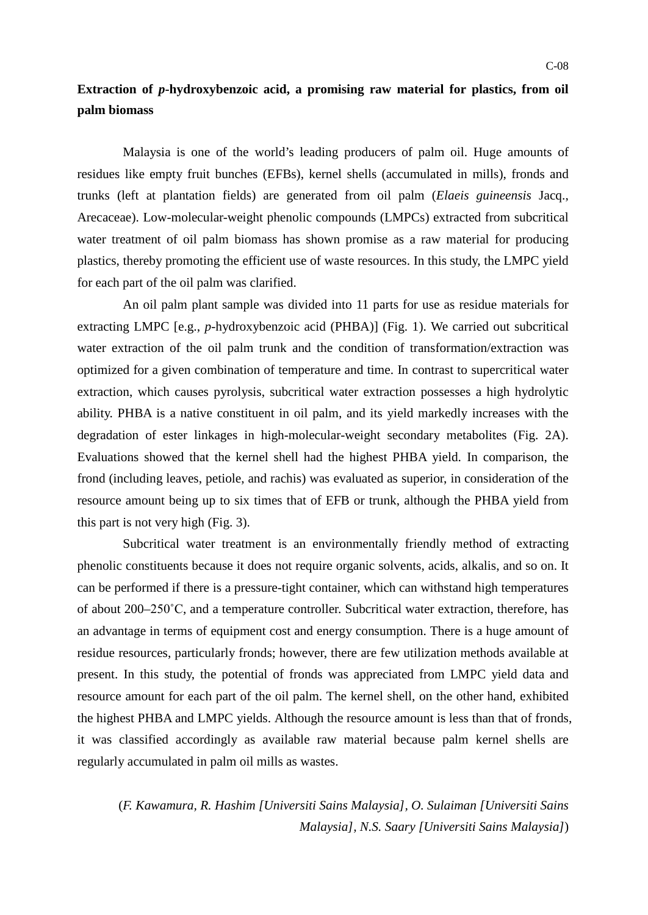## **Extraction of** *p***-hydroxybenzoic acid, a promising raw material for plastics, from oil palm biomass**

Malaysia is one of the world's leading producers of palm oil. Huge amounts of residues like empty fruit bunches (EFBs), kernel shells (accumulated in mills), fronds and trunks (left at plantation fields) are generated from oil palm (*Elaeis guineensis* Jacq., Arecaceae). Low-molecular-weight phenolic compounds (LMPCs) extracted from subcritical water treatment of oil palm biomass has shown promise as a raw material for producing plastics, thereby promoting the efficient use of waste resources. In this study, the LMPC yield for each part of the oil palm was clarified.

An oil palm plant sample was divided into 11 parts for use as residue materials for extracting LMPC [e.g., *p*-hydroxybenzoic acid (PHBA)] (Fig. 1). We carried out subcritical water extraction of the oil palm trunk and the condition of transformation/extraction was optimized for a given combination of temperature and time. In contrast to supercritical water extraction, which causes pyrolysis, subcritical water extraction possesses a high hydrolytic ability. PHBA is a native constituent in oil palm, and its yield markedly increases with the degradation of ester linkages in high-molecular-weight secondary metabolites (Fig. 2A). Evaluations showed that the kernel shell had the highest PHBA yield. In comparison, the frond (including leaves, petiole, and rachis) was evaluated as superior, in consideration of the resource amount being up to six times that of EFB or trunk, although the PHBA yield from this part is not very high (Fig. 3).

Subcritical water treatment is an environmentally friendly method of extracting phenolic constituents because it does not require organic solvents, acids, alkalis, and so on. It can be performed if there is a pressure-tight container, which can withstand high temperatures of about 200–250˚C, and a temperature controller. Subcritical water extraction, therefore, has an advantage in terms of equipment cost and energy consumption. There is a huge amount of residue resources, particularly fronds; however, there are few utilization methods available at present. In this study, the potential of fronds was appreciated from LMPC yield data and resource amount for each part of the oil palm. The kernel shell, on the other hand, exhibited the highest PHBA and LMPC yields. Although the resource amount is less than that of fronds, it was classified accordingly as available raw material because palm kernel shells are regularly accumulated in palm oil mills as wastes.

(*F. Kawamura, R. Hashim [Universiti Sains Malaysia], O. Sulaiman [Universiti Sains Malaysia], N.S. Saary [Universiti Sains Malaysia]*)